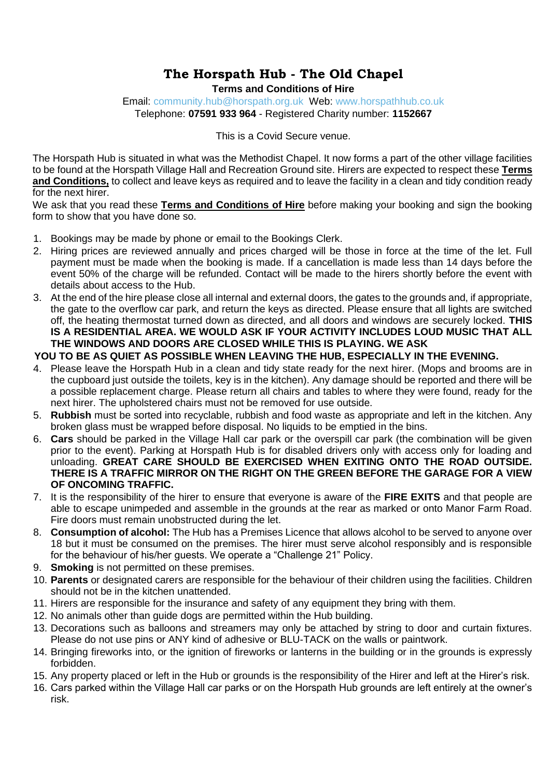## **The Horspath Hub - The Old Chapel**

## **Terms and Conditions of Hire**

Email: community.hub@horspath.org.uk Web: www.horspathhub.co.uk Telephone: **07591 933 964** - Registered Charity number: **1152667**

This is a Covid Secure venue.

The Horspath Hub is situated in what was the Methodist Chapel. It now forms a part of the other village facilities to be found at the Horspath Village Hall and Recreation Ground site. Hirers are expected to respect these **Terms and Conditions,** to collect and leave keys as required and to leave the facility in a clean and tidy condition ready for the next hirer.

We ask that you read these **Terms and Conditions of Hire** before making your booking and sign the booking form to show that you have done so.

- 1. Bookings may be made by phone or email to the Bookings Clerk.
- 2. Hiring prices are reviewed annually and prices charged will be those in force at the time of the let. Full payment must be made when the booking is made. If a cancellation is made less than 14 days before the event 50% of the charge will be refunded. Contact will be made to the hirers shortly before the event with details about access to the Hub.
- 3. At the end of the hire please close all internal and external doors, the gates to the grounds and, if appropriate, the gate to the overflow car park, and return the keys as directed. Please ensure that all lights are switched off, the heating thermostat turned down as directed, and all doors and windows are securely locked. **THIS IS A RESIDENTIAL AREA. WE WOULD ASK IF YOUR ACTIVITY INCLUDES LOUD MUSIC THAT ALL THE WINDOWS AND DOORS ARE CLOSED WHILE THIS IS PLAYING. WE ASK**

## **YOU TO BE AS QUIET AS POSSIBLE WHEN LEAVING THE HUB, ESPECIALLY IN THE EVENING.**

- 4. Please leave the Horspath Hub in a clean and tidy state ready for the next hirer. (Mops and brooms are in the cupboard just outside the toilets, key is in the kitchen). Any damage should be reported and there will be a possible replacement charge. Please return all chairs and tables to where they were found, ready for the next hirer. The upholstered chairs must not be removed for use outside.
- 5. **Rubbish** must be sorted into recyclable, rubbish and food waste as appropriate and left in the kitchen. Any broken glass must be wrapped before disposal. No liquids to be emptied in the bins.
- 6. **Cars** should be parked in the Village Hall car park or the overspill car park (the combination will be given prior to the event). Parking at Horspath Hub is for disabled drivers only with access only for loading and unloading. **GREAT CARE SHOULD BE EXERCISED WHEN EXITING ONTO THE ROAD OUTSIDE. THERE IS A TRAFFIC MIRROR ON THE RIGHT ON THE GREEN BEFORE THE GARAGE FOR A VIEW OF ONCOMING TRAFFIC.**
- 7. It is the responsibility of the hirer to ensure that everyone is aware of the **FIRE EXITS** and that people are able to escape unimpeded and assemble in the grounds at the rear as marked or onto Manor Farm Road. Fire doors must remain unobstructed during the let.
- 8. **Consumption of alcohol:** The Hub has a Premises Licence that allows alcohol to be served to anyone over 18 but it must be consumed on the premises. The hirer must serve alcohol responsibly and is responsible for the behaviour of his/her guests. We operate a "Challenge 21" Policy.
- 9. **Smoking** is not permitted on these premises.
- 10. **Parents** or designated carers are responsible for the behaviour of their children using the facilities. Children should not be in the kitchen unattended.
- 11. Hirers are responsible for the insurance and safety of any equipment they bring with them.
- 12. No animals other than guide dogs are permitted within the Hub building.
- 13. Decorations such as balloons and streamers may only be attached by string to door and curtain fixtures. Please do not use pins or ANY kind of adhesive or BLU-TACK on the walls or paintwork.
- 14. Bringing fireworks into, or the ignition of fireworks or lanterns in the building or in the grounds is expressly forbidden.
- 15. Any property placed or left in the Hub or grounds is the responsibility of the Hirer and left at the Hirer's risk.
- 16. Cars parked within the Village Hall car parks or on the Horspath Hub grounds are left entirely at the owner's risk.